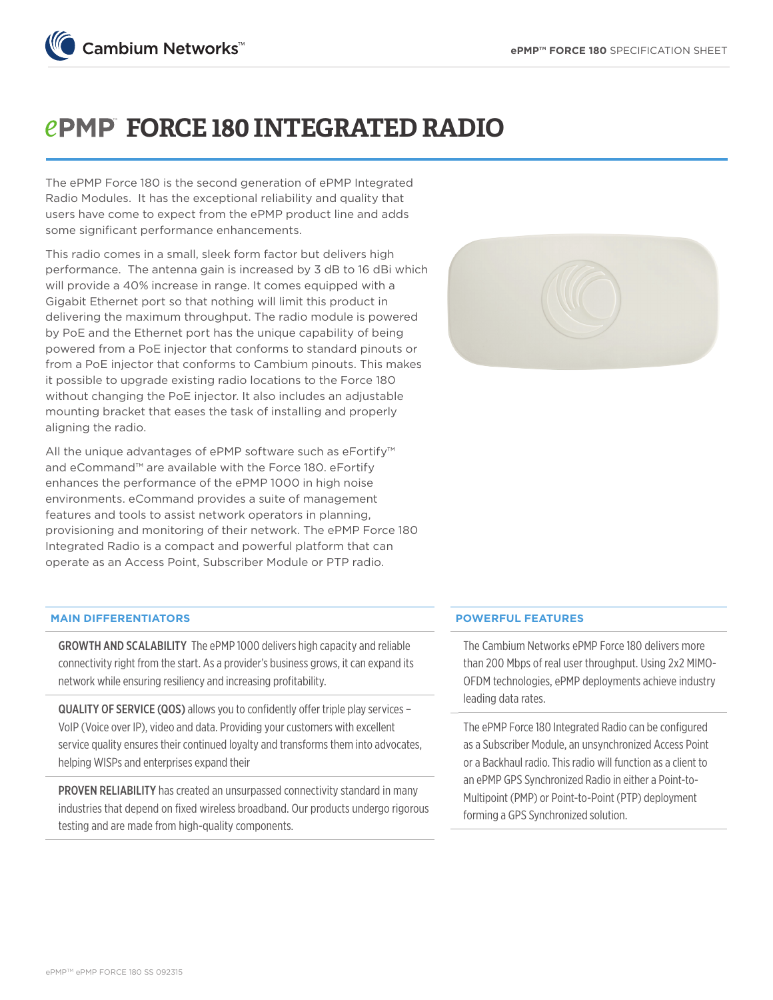

# *EPMP* FORCE 180 INTEGRATED RADIO

The ePMP Force 180 is the second generation of ePMP Integrated Radio Modules. It has the exceptional reliability and quality that users have come to expect from the ePMP product line and adds some significant performance enhancements.

This radio comes in a small, sleek form factor but delivers high performance. The antenna gain is increased by 3 dB to 16 dBi which will provide a 40% increase in range. It comes equipped with a Gigabit Ethernet port so that nothing will limit this product in delivering the maximum throughput. The radio module is powered by PoE and the Ethernet port has the unique capability of being powered from a PoE injector that conforms to standard pinouts or from a PoE injector that conforms to Cambium pinouts. This makes it possible to upgrade existing radio locations to the Force 180 without changing the PoE injector. It also includes an adjustable mounting bracket that eases the task of installing and properly aligning the radio.

All the unique advantages of ePMP software such as eFortify™ and eCommand™ are available with the Force 180. eFortify enhances the performance of the ePMP 1000 in high noise environments. eCommand provides a suite of management features and tools to assist network operators in planning, provisioning and monitoring of their network. The ePMP Force 180 Integrated Radio is a compact and powerful platform that can operate as an Access Point, Subscriber Module or PTP radio.



#### **MAIN DIFFERENTIATORS**

GROWTH AND SCALABILITY The ePMP 1000 delivers high capacity and reliable connectivity right from the start. As a provider's business grows, it can expand its network while ensuring resiliency and increasing profitability.

QUALITY OF SERVICE (QOS) allows you to confidently offer triple play services – VoIP (Voice over IP), video and data. Providing your customers with excellent service quality ensures their continued loyalty and transforms them into advocates, helping WISPs and enterprises expand their

PROVEN RELIABILITY has created an unsurpassed connectivity standard in many industries that depend on fixed wireless broadband. Our products undergo rigorous testing and are made from high-quality components.

#### **POWERFUL FEATURES**

The Cambium Networks ePMP Force 180 delivers more than 200 Mbps of real user throughput. Using 2x2 MIMO-OFDM technologies, ePMP deployments achieve industry leading data rates.

The ePMP Force 180 Integrated Radio can be configured as a Subscriber Module, an unsynchronized Access Point or a Backhaul radio. This radio will function as a client to an ePMP GPS Synchronized Radio in either a Point-to-Multipoint (PMP) or Point-to-Point (PTP) deployment forming a GPS Synchronized solution.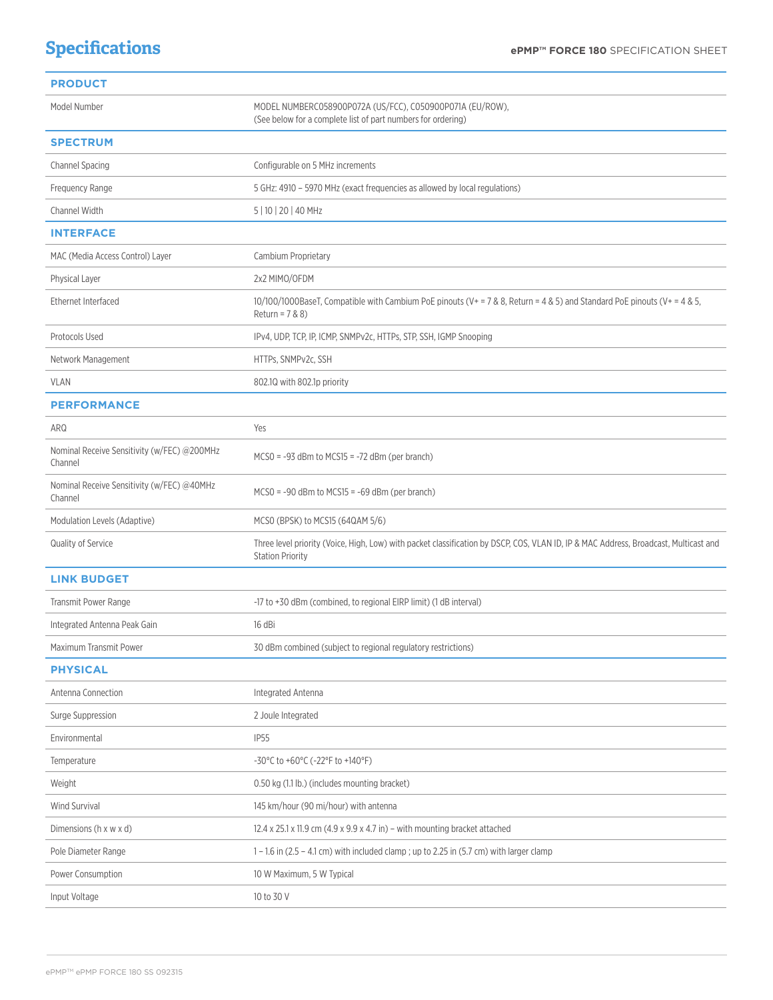## **Specifications**

| <b>PRODUCT</b>                                         |                                                                                                                                                                 |  |
|--------------------------------------------------------|-----------------------------------------------------------------------------------------------------------------------------------------------------------------|--|
| Model Number                                           | MODEL NUMBERC058900P072A (US/FCC), C050900P071A (EU/ROW),<br>(See below for a complete list of part numbers for ordering)                                       |  |
| <b>SPECTRUM</b>                                        |                                                                                                                                                                 |  |
| Channel Spacing                                        | Configurable on 5 MHz increments                                                                                                                                |  |
| Frequency Range                                        | 5 GHz: 4910 - 5970 MHz (exact frequencies as allowed by local regulations)                                                                                      |  |
| Channel Width                                          | 5   10   20   40 MHz                                                                                                                                            |  |
| <b>INTERFACE</b>                                       |                                                                                                                                                                 |  |
| MAC (Media Access Control) Layer                       | Cambium Proprietary                                                                                                                                             |  |
| Physical Layer                                         | 2x2 MIMO/OFDM                                                                                                                                                   |  |
| Ethernet Interfaced                                    | 10/100/1000BaseT, Compatible with Cambium PoE pinouts ( $V = 7$ & 8, Return = 4 & 5) and Standard PoE pinouts ( $V = 4$ & 5,<br>Return = $7 & 80$               |  |
| Protocols Used                                         | IPv4, UDP, TCP, IP, ICMP, SNMPv2c, HTTPs, STP, SSH, IGMP Snooping                                                                                               |  |
| Network Management                                     | HTTPs, SNMPv2c, SSH                                                                                                                                             |  |
| <b>VLAN</b>                                            | 802.10 with 802.1p priority                                                                                                                                     |  |
| <b>PERFORMANCE</b>                                     |                                                                                                                                                                 |  |
| ARQ                                                    | Yes                                                                                                                                                             |  |
| Nominal Receive Sensitivity (w/FEC) @200MHz<br>Channel | $MCSO = -93$ dBm to $MCS15 = -72$ dBm (per branch)                                                                                                              |  |
| Nominal Receive Sensitivity (w/FEC) @40MHz<br>Channel  | $MCSO = -90$ dBm to $MCS15 = -69$ dBm (per branch)                                                                                                              |  |
| Modulation Levels (Adaptive)                           | MCSO (BPSK) to MCS15 (64QAM 5/6)                                                                                                                                |  |
| Quality of Service                                     | Three level priority (Voice, High, Low) with packet classification by DSCP, COS, VLAN ID, IP & MAC Address, Broadcast, Multicast and<br><b>Station Priority</b> |  |
| <b>LINK BUDGET</b>                                     |                                                                                                                                                                 |  |
| Transmit Power Range                                   | -17 to +30 dBm (combined, to regional EIRP limit) (1 dB interval)                                                                                               |  |
| Integrated Antenna Peak Gain                           | 16 dBi                                                                                                                                                          |  |
| Maximum Transmit Power                                 | 30 dBm combined (subject to regional regulatory restrictions)                                                                                                   |  |
| <b>PHYSICAL</b>                                        |                                                                                                                                                                 |  |
| Antenna Connection                                     | Integrated Antenna                                                                                                                                              |  |
| Surge Suppression                                      | 2 Joule Integrated                                                                                                                                              |  |
| Environmental                                          | <b>IP55</b>                                                                                                                                                     |  |
| Temperature                                            | -30°C to +60°C (-22°F to +140°F)                                                                                                                                |  |
| Weight                                                 | 0.50 kg (1.1 lb.) (includes mounting bracket)                                                                                                                   |  |
| Wind Survival                                          | 145 km/hour (90 mi/hour) with antenna                                                                                                                           |  |
| Dimensions (h x w x d)                                 | 12.4 x 25.1 x 11.9 cm (4.9 x 9.9 x 4.7 in) - with mounting bracket attached                                                                                     |  |
| Pole Diameter Range                                    | 1 - 1.6 in (2.5 - 4.1 cm) with included clamp ; up to 2.25 in (5.7 cm) with larger clamp                                                                        |  |
| Power Consumption                                      | 10 W Maximum, 5 W Typical                                                                                                                                       |  |
| Input Voltage                                          | 10 to 30 V                                                                                                                                                      |  |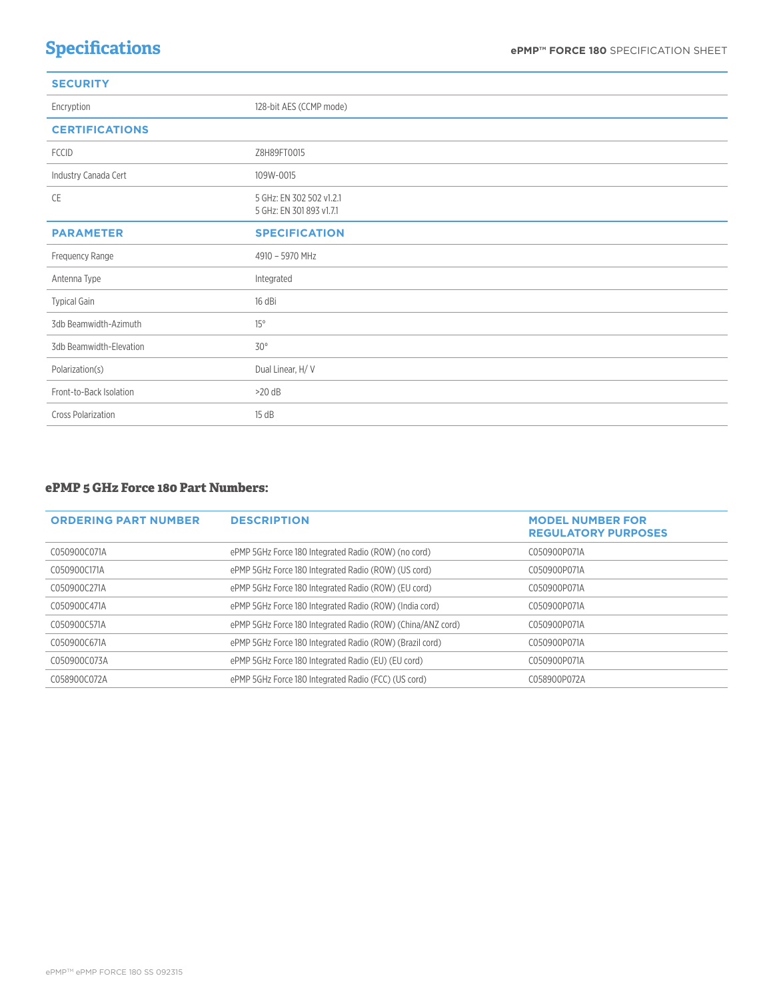## **SECURITY**

| Encryption                | 128-bit AES (CCMP mode)                              |
|---------------------------|------------------------------------------------------|
| <b>CERTIFICATIONS</b>     |                                                      |
| <b>FCCID</b>              | Z8H89FT0015                                          |
| Industry Canada Cert      | 109W-0015                                            |
| CE                        | 5 GHz: EN 302 502 v1.2.1<br>5 GHz: EN 301 893 v1.7.1 |
| <b>PARAMETER</b>          | <b>SPECIFICATION</b>                                 |
| Frequency Range           | 4910 - 5970 MHz                                      |
| Antenna Type              | Integrated                                           |
| <b>Typical Gain</b>       | 16 dBi                                               |
| 3db Beamwidth-Azimuth     | $15^\circ$                                           |
| 3db Beamwidth-Elevation   | $30^{\circ}$                                         |
| Polarization(s)           | Dual Linear, H/V                                     |
| Front-to-Back Isolation   | $>20$ dB                                             |
| <b>Cross Polarization</b> | 15 dB                                                |

### **ePMP 5 GHz Force 180 Part Numbers:**

| <b>ORDERING PART NUMBER</b> | <b>DESCRIPTION</b>                                          | <b>MODEL NUMBER FOR</b><br><b>REGULATORY PURPOSES</b> |
|-----------------------------|-------------------------------------------------------------|-------------------------------------------------------|
| C050900C071A                | ePMP 5GHz Force 180 Integrated Radio (ROW) (no cord)        | C050900P071A                                          |
| C050900C171A                | ePMP 5GHz Force 180 Integrated Radio (ROW) (US cord)        | C050900P071A                                          |
| C050900C271A                | ePMP 5GHz Force 180 Integrated Radio (ROW) (EU cord)        | C050900P071A                                          |
| C050900C471A                | ePMP 5GHz Force 180 Integrated Radio (ROW) (India cord)     | C050900P071A                                          |
| C050900C571A                | ePMP 5GHz Force 180 Integrated Radio (ROW) (China/ANZ cord) | C050900P071A                                          |
| C050900C671A                | ePMP 5GHz Force 180 Integrated Radio (ROW) (Brazil cord)    | C050900P071A                                          |
| C050900C073A                | ePMP 5GHz Force 180 Integrated Radio (EU) (EU cord)         | C050900P071A                                          |
| C058900C072A                | ePMP 5GHz Force 180 Integrated Radio (FCC) (US cord)        | C058900P072A                                          |